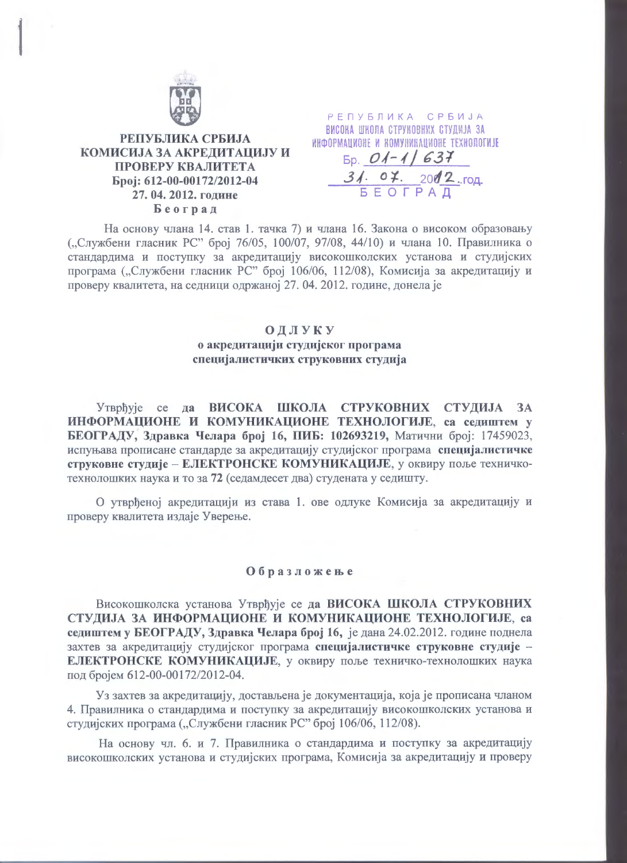

## РЕПУБЛИКА СРБИЈА КОМИСИЈА ЗА АКРЕЛИТАЦИЈУ И ПРОВЕРУ КВАЛИТЕТА Број: 612-00-00172/2012-04 27.04.2012. године Београд

РЕПУБЛИКА СРБИЈА ВИСОНА ШНОЛА СТРУНОВНИХ СТУДИЈА ЗА ИНФОРМАЦИОНЕ И НОМУНИКАЦИОНЕ ТЕХНОЛОГИЈЕ

 $\underbrace{01-11637}_{5 \text{ E O T PA}}$ <br>31. 07. 2002.rog.

На основу члана 14. став 1. тачка 7) и члана 16. Закона о високом образовању ("Службени гласник РС" број 76/05, 100/07, 97/08, 44/10) и члана 10. Правилника о стандардима и поступку за акредитацију високошколских установа и студијских програма ("Службени гласник РС" број 106/06, 112/08), Комисија за акредитацију и проверу квалитета, на седници одржаној 27. 04. 2012. године, донела је

## ОДЛУКУ о акредитацији студијског програма специјалистичких струковних студија

Утврђује се да ВИСОКА ШКОЛА СТРУКОВНИХ СТУДИЈА ЗА ИНФОРМАЦИОНЕ И КОМУНИКАЦИОНЕ ТЕХНОЛОГИЈЕ, са седиштем у БЕОГРАДУ, Здравка Челара број 16, ПИБ: 102693219, Матични број: 17459023, испуњава прописане стандарде за акредитацију студијског програма специјалистичке струковне студије - ЕЛЕКТРОНСКЕ КОМУНИКАЦИЈЕ, у оквиру поље техничкотехнолошких наука и то за 72 (седамдесет два) студената у седишту.

О утврђеној акредитацији из става 1. ове одлуке Комисија за акредитацију и проверу квалитета издаје Уверење.

## Образложење

Високошколска установа Утврђује се да ВИСОКА ШКОЛА СТРУКОВНИХ СТУДИЈА ЗА ИНФОРМАЦИОНЕ И КОМУНИКАЦИОНЕ ТЕХНОЛОГИЈЕ, са седиштем у БЕОГРАДУ, Здравка Челара број 16, је дана 24.02.2012. године поднела захтев за акредитацију студијског програма специјалистичке струковне студије -ЕЛЕКТРОНСКЕ КОМУНИКАЦИЈЕ, у оквиру поље техничко-технолошких наука под бројем 612-00-00172/2012-04.

Уз захтев за акредитацију, достављена је документација, која је прописана чланом 4. Правилника о стандардима и поступку за акредитацију високошколских установа и студијских програма ("Службени гласник РС" број 106/06, 112/08).

На основу чл. 6. и 7. Правилника о стандардима и поступку за акредитацију високошколских установа и студијских програма, Комисија за акредитацију и проверу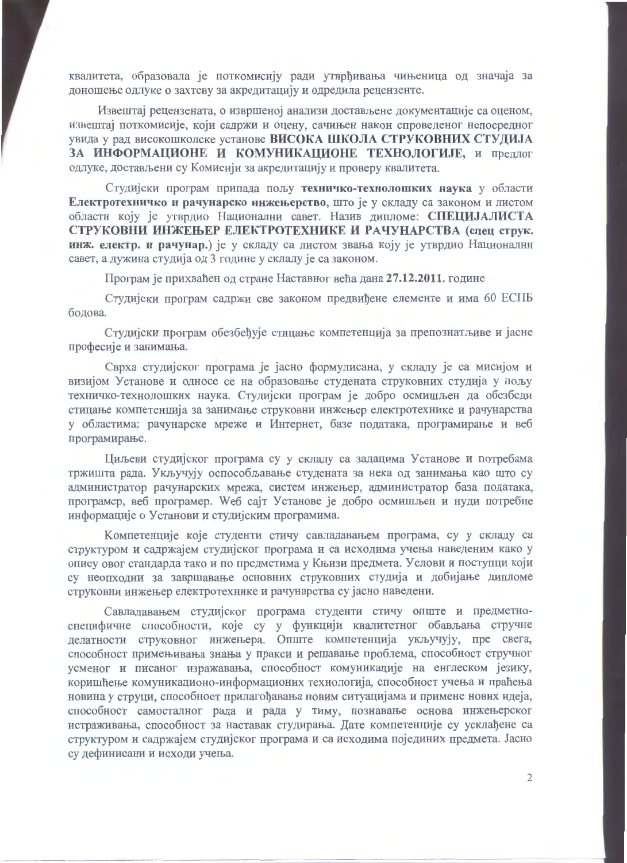квалитета, образовала је поткомисију ради утврђивања чињеница од значаја за доношење одлуке о захтеву за акредитацију и одредила рецензенте.

Извештај рецензената, о извршеној анализи достављене документације са оценом, извештај поткомисије, који садржи и оцену, сачињен након спроведеног непосредног увида у рад високошколске установе ВИСОКА ШКОЛА СТРУКОВНИХ СТУДИЈА ЗА ИНФОРМАЦИОНЕ И КОМУНИКАЦИОНЕ ТЕХНОЛОГИЈЕ, и предлог одлуке, достављени су Комисији за акредитацију и проверу квалитета.

Студијски програм припада пољу техничко-технолошких наука у области Електротехничко и рачунарско инжењерство, што је у складу са законом и листом области коју је утврдио Национални савет. Назив дипломе: СПЕЦИЈАЛИСТА СТРУКОВНИ ИНЖЕЊЕР ЕЛЕКТРОТЕХНИКЕ И РАЧУНАРСТВА (спец струк. инж. електр. и рачунар.) је у складу са листом звања коју је утврдио Национални савет, а дужина студија од 3 године у складу је са законом.

Програм је прихваћен од стране Наставног већа дана 27.12.2011. године

Студијски програм садржи све законом предвиђене елементе и има 60 ЕСПБ болова.

Студијски програм обезбеђује стицање компетенција за препознатљиве и јасне професије и занимања.

Сврха студијског програма је јасно формулисана, у складу је са мисијом и визијом Установе и односе се на образовање студената струковних студија у пољу техничко-технолошких наука. Студијски програм је добро осмишљен да обезбеди стицање компетенција за занимање струковни инжењер електротехнике и рачунарства у областима; рачунарске мреже и Интернет, базе података, програмирање и веб програмирање.

Циљеви студијског програма су у складу са задацима Установе и потребама тржишта рада. Укључују оспособљавање студената за нека од занимања као што су администратор рачунарских мрежа, систем инжењер, администратор база података, програмер, веб програмер. Weб сајт Установе је добро осмишљен и нуди потребне информације о Установи и студијским програмима.

Компетенције које студенти стичу савладавањем програма, су у складу са структуром и садржајем студијског програма и са исходима учења наведеним како у опису овог стандарда тако и по предметима у Књизи предмета. Услови и поступци који су неопходни за завршавање основних струковних студија и добијање дипломе струковни инжењер електротехнике и рачунарства су јасно наведени.

Савладавањем студијског програма студенти стичу опште и предметноспецифичне способности, које су у функцији квалитетног обављања стручне делатности струковног инжењера. Опште компетенција укључују, пре свега, способност примењивања знања у пракси и решавање проблема, способност стручног усменог и писаног изражавања, способност комуникације на енглеском језику, коришћење комуникационо-информационих технологија, способност учења и праћења новина у струци, способност прилагођавања новим ситуацијама и примене нових идеја, способност самосталног рада и рада у тиму, познавање основа инжењерског истраживања, способност за наставак студирања. Дате компетенције су усклађене са структуром и садржајем студијског програма и са исходима појединих предмета. Јасно су дефинисани и исходи учења.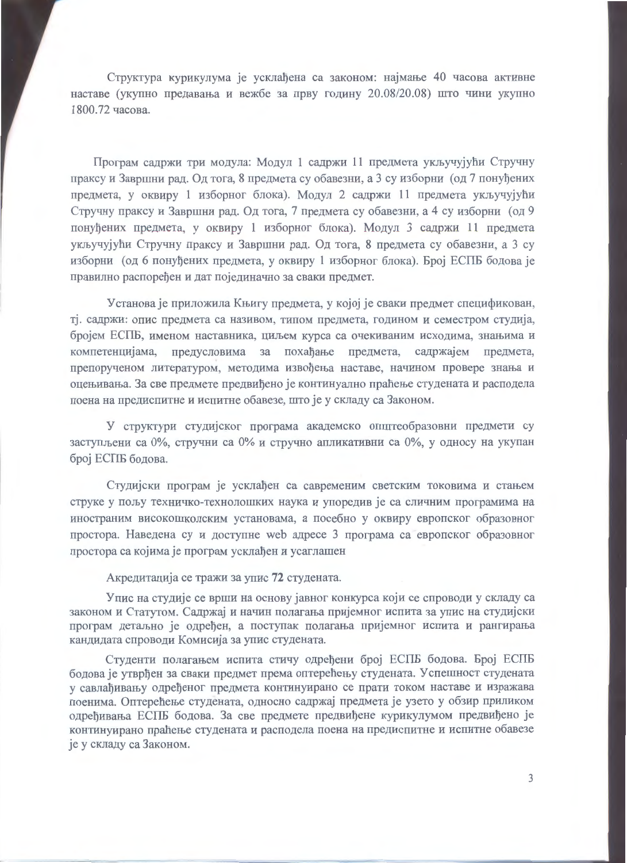Структура курикулума је усклађена са законом: најмање 40 часова активне наставе (укупно предавања и вежбе за прву годину 20.08/20.08) што чини укупно 1800.72 qacosa.

Програм садржи три модула: Модул 1 садржи 11 предмета укључујући Стручну праксу и Завршни рад. Од тога, 8 предмета су обавезни, а 3 су изборни (од 7 понуђених предмета, у оквиру 1 изборног блока). Модул 2 садржи 11 предмета укључујући Стручну праксу и Завршни рад. Од тога, 7 предмета су обавезни, а 4 су изборни (од 9 понуђених предмета, у оквиру 1 изборног блока). Модул 3 садржи 11 предмета укључујући Стручну праксу и Завршни рад. Од тога, 8 предмета су обавезни, а 3 су изборни (од 6 понуђених предмета, у оквиру 1 изборног блока). Број ЕСПБ бодова је правилно распоређен и дат појединачно за сваки прелмет.

Установа је приложила Књигу предмета, у којој је сваки предмет спецификован, тј. садржи: опис предмета са називом, типом предмета, годином и семестром студија, бројем ЕСПБ, именом наставника, циљем курса са очекиваним исходима, знањима и компетенцијама, предусловима за похађање предмета, садржајем предмета, препорученом литературом, методима извођења наставе, начином провере знања и оцењивања. За све предмете предвиђено је континуално праћење студената и расподела поена на предиспитне и испитне обавезе, што је у складу са Законом.

У структури студијског програма академско општеобразовни предмети су заступљени са 0%, стручни са 0% и стручно апликативни са 0%, у односу на укупан број ЕСПБ бодова.

Студијски програм је усклађен са савременим светским токовима и стањем струке у пољу техничко-технолошких наука и упоредив је са сличним програмима на иностраним високошколским установама, а посебно у оквиру европског образовног простора. Наведена су и доступне web адресе 3 програма са европског образовног простора са којима је програм усклађен и усаглашен

Акредитација се тражи за упис 72 студената.

Упис на студије се врши на основу јавног конкурса који се спроводи у складу са законом и Статутом. Садржај и начин полагања пријемног испита за упис на студијски програм детаљно је одређен, а поступак полагања пријемног испита и рангирања кандидата спроводи Комисија за упис студената.

Стуленти полагањем испита стичу одређени број ЕСПБ бодова. Број ЕСПБ бодова је утврђен за сваки предмет према оптерећењу студената. У спешност студената у савлађивању одређеног предмета континуирано се прати током наставе и изражава поенима. Оптерећење студената, односно садржај предмета је узето у обзир приликом одређивања ЕСПБ бодова. За све предмете предвиђене курикулумом предвиђено је континуирано праћење студената и расподела поена на предиспитне и испитне обавезе је у складу са Законом.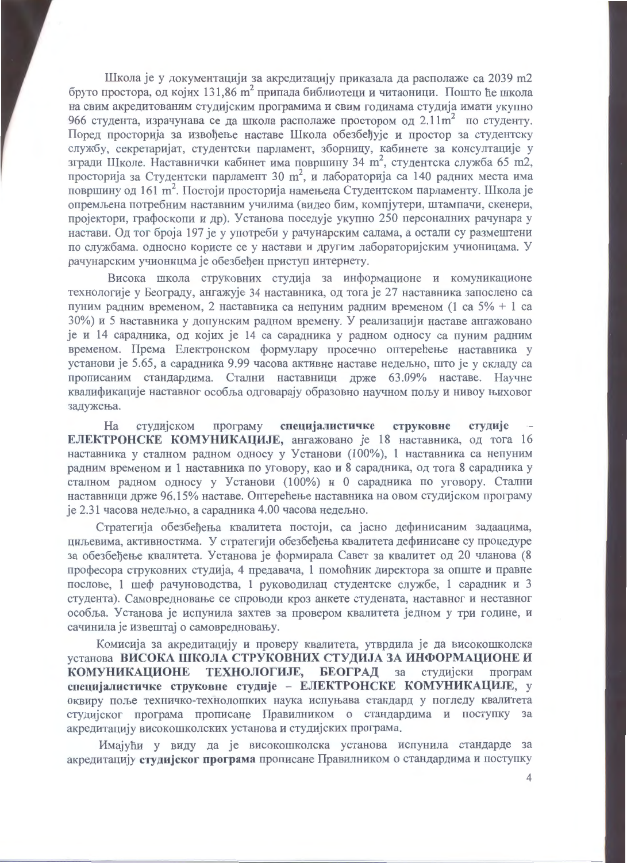Школа је у документацији за акредитацију приказала да располаже са 2039 m2 бруто простора, од којих 131,86 m<sup>2</sup> припада библиотеци и читаоници. Пошто ће школа на свим акредитованим студијским програмима и свим годинама студија имати укупно 966 студента, израчунава се да школа располаже простором од 2.11m<sup>2</sup> по студенту. Поред просторија за извођење наставе Школа обезбеђује и простор за студентску службу, секретаријат, студентски парламент, зборницу, кабинете за консултације у згради Школе. Наставнички кабинет има површину 34 m<sup>2</sup>, студентска служба 65 m2, просторија за Студентски парламент 30 m<sup>2</sup>, и лабораторија са 140 радних места има површину од 161 m<sup>2</sup>. Постоји просторија намењена Студентском парламенту. Школа је опремљена потребним наставним училима (видео бим, компјутери, штампачи, скенери, пројектори, графоскопи и др). Установа поседује укупно 250 персоналних рачунара у настави. Од тог броја 197 је у употреби у рачунарским салама, а остали су размештени по службама. односно користе се у настави и другим лабораторијским учионицама. У рачунарским учионицма је обезбеђен приступ интернету.

Висока школа струковних студија за информационе и комуникационе технологије у Београду, ангажује 34 наставника, од тога је 27 наставника запослено са пуним радним временом, 2 наставника са непуним радним временом (1 са 5% + 1 са 30%) и 5 наставника у допунским радном времену. У реализацији наставе ангажовано је и 14 сарадника, од којих је 14 са сарадника у радном односу са пуним радним временом. Према Електронском формулару просечно оптерећење наставника у установи је 5.65, а сарадника 9.99 часова активне наставе недељно, што је у складу са прописаним стандардима. Стални наставници држе 63.09% наставе. Научне квалификације наставног особља одговарају образовно научном пољу и нивоу њиховог задужења.

програму специјалистичке струковне Ha студијском студије ЕЛЕКТРОНСКЕ КОМУНИКАЦИЈЕ, ангажовано је 18 наставника, од тога 16 наставника у сталном радном односу у Установи (100%), 1 наставника са непуним радним временом и 1 наставника по уговору, као и 8 сарадника, од тога 8 сарадника у сталном радном односу у Установи (100%) и 0 сарадника по уговору. Стални наставници држе 96.15% наставе. Оптерећење наставника на овом студијском програму је 2.31 часова недељно, а сарадника 4.00 часова недељно.

Стратегија обезбеђења квалитета постоји, са јасно дефинисаним задаацима, циљевима, активностима. У стратегији обезбеђења квалитета дефинисане су процедуре за обезбеђење квалитета. Установа је формирала Савет за квалитет од 20 чланова (8 професора струковних студија, 4 предавача, 1 помоћник директора за опште и правне послове, 1 шеф рачуноводства, 1 руководилац студентске службе, 1 сарадник и 3 студента). Самовредновање се спроводи кроз анкете студената, наставног и неставног особља. Установа је испунила захтев за провером квалитета једном у три године, и сачинила је извештај о самовредновању.

Комисија за акредитацију и проверу квалитета, утврдила је да високошколска установа ВИСОКА ШКОЛА СТРУКОВНИХ СТУДИЈА ЗА ИНФОРМАЦИОНЕ И **ТЕХНОЛОГИЈЕ, БЕОГРАД за КОМУНИКАЦИОНЕ** студијски програм специјалистичке струковне студије - ЕЛЕКТРОНСКЕ КОМУНИКАЦИЈЕ, у оквиру поље техничко-технолошких наука испуњава стандард у погледу квалитета студијског програма прописане Правилником о стандардима и поступку за акредитацију високошколских установа и студијских програма.

Имајући у виду да је високошколска установа испунила стандарде за акредитацију студијског програма прописане Правилником о стандардима и поступку

 $\overline{A}$